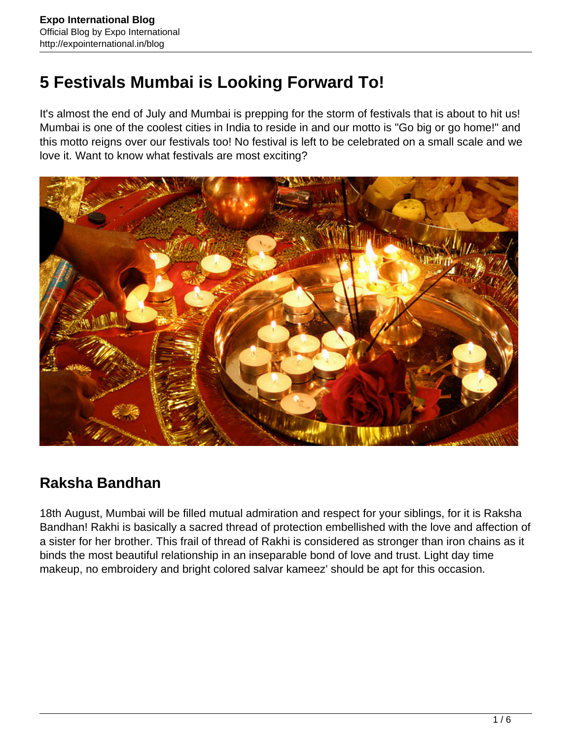# **5 Festivals Mumbai is Looking Forward To!**

It's almost the end of July and Mumbai is prepping for the storm of festivals that is about to hit us! Mumbai is one of the coolest cities in India to reside in and our motto is "Go big or go home!" and this motto reigns over our festivals too! No festival is left to be celebrated on a small scale and we love it. Want to know what festivals are most exciting?



# **Raksha Bandhan**

18th August, Mumbai will be filled mutual admiration and respect for your siblings, for it is Raksha Bandhan! Rakhi is basically a sacred thread of protection embellished with the love and affection of a sister for her brother. This frail of thread of Rakhi is considered as stronger than iron chains as it binds the most beautiful relationship in an inseparable bond of love and trust. Light day time makeup, no embroidery and bright colored salvar kameez' should be apt for this occasion.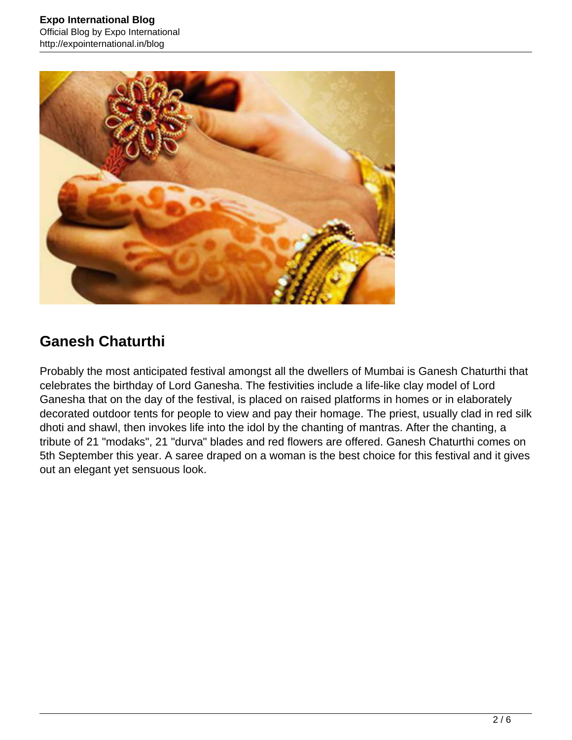

# **Ganesh Chaturthi**

Probably the most anticipated festival amongst all the dwellers of Mumbai is Ganesh Chaturthi that celebrates the birthday of Lord Ganesha. The festivities include a life-like clay model of Lord Ganesha that on the day of the festival, is placed on raised platforms in homes or in elaborately decorated outdoor tents for people to view and pay their homage. The priest, usually clad in red silk dhoti and shawl, then invokes life into the idol by the chanting of mantras. After the chanting, a tribute of 21 "modaks", 21 "durva" blades and red flowers are offered. Ganesh Chaturthi comes on 5th September this year. A saree draped on a woman is the best choice for this festival and it gives out an elegant yet sensuous look.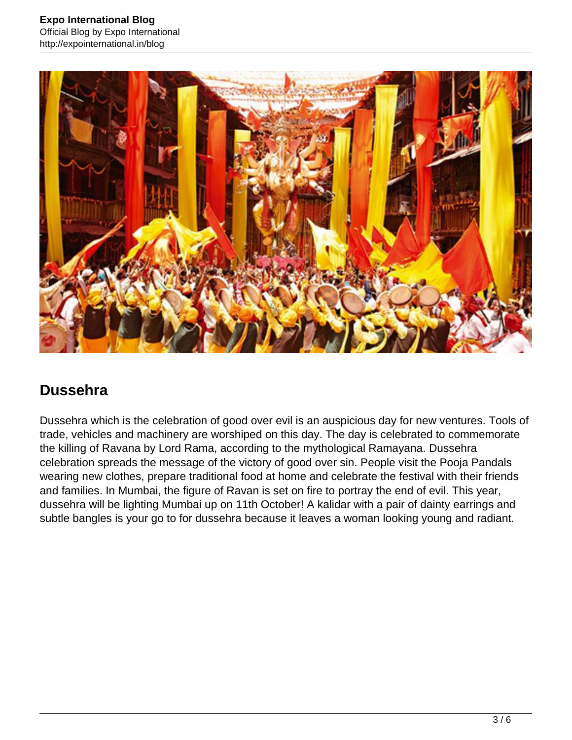

#### **Dussehra**

Dussehra which is the celebration of good over evil is an auspicious day for new ventures. Tools of trade, vehicles and machinery are worshiped on this day. The day is celebrated to commemorate the killing of Ravana by Lord Rama, according to the mythological Ramayana. Dussehra celebration spreads the message of the victory of good over sin. People visit the Pooja Pandals wearing new clothes, prepare traditional food at home and celebrate the festival with their friends and families. In Mumbai, the figure of Ravan is set on fire to portray the end of evil. This year, dussehra will be lighting Mumbai up on 11th October! A kalidar with a pair of dainty earrings and subtle bangles is your go to for dussehra because it leaves a woman looking young and radiant.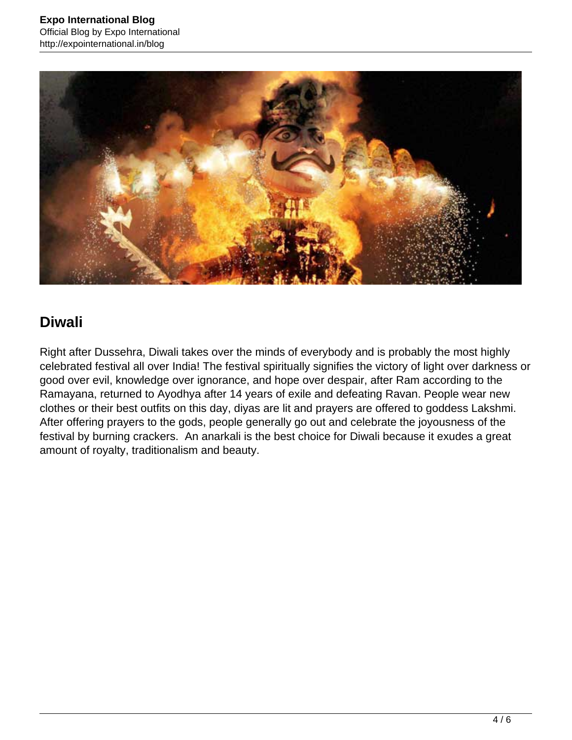

# **Diwali**

Right after Dussehra, Diwali takes over the minds of everybody and is probably the most highly celebrated festival all over India! The festival spiritually signifies the victory of light over darkness or good over evil, knowledge over ignorance, and hope over despair, after Ram according to the Ramayana, returned to Ayodhya after 14 years of exile and defeating Ravan. People wear new clothes or their best outfits on this day, diyas are lit and prayers are offered to goddess Lakshmi. After offering prayers to the gods, people generally go out and celebrate the joyousness of the festival by burning crackers. An anarkali is the best choice for Diwali because it exudes a great amount of royalty, traditionalism and beauty.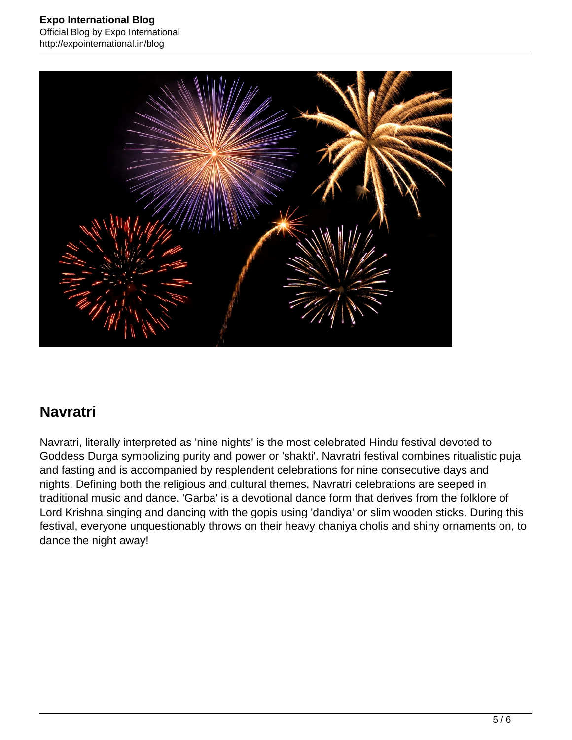

# **Navratri**

Navratri, literally interpreted as 'nine nights' is the most celebrated Hindu festival devoted to Goddess Durga symbolizing purity and power or 'shakti'. Navratri festival combines ritualistic puja and fasting and is accompanied by resplendent celebrations for nine consecutive days and nights. Defining both the religious and cultural themes, Navratri celebrations are seeped in traditional music and dance. 'Garba' is a devotional dance form that derives from the folklore of Lord Krishna singing and dancing with the gopis using 'dandiya' or slim wooden sticks. During this festival, everyone unquestionably throws on their heavy chaniya cholis and shiny ornaments on, to dance the night away!